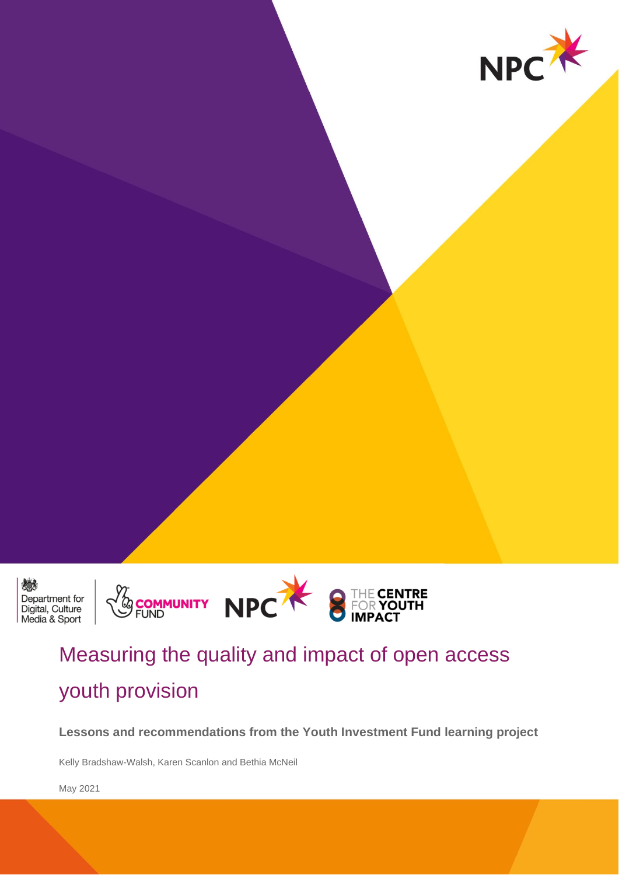



# Measuring the quality and impact of open access youth provision

**Lessons and recommendations from the Youth Investment Fund learning project** 

Kelly Bradshaw-Walsh, Karen Scanlon and Bethia McNeil

May 2021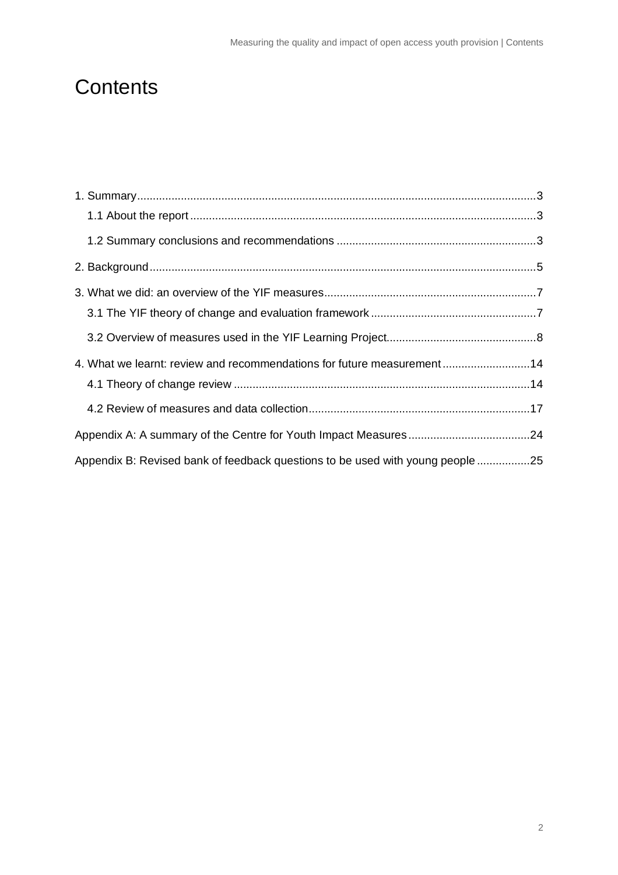# **Contents**

| 4. What we learnt: review and recommendations for future measurement14         |  |
|--------------------------------------------------------------------------------|--|
|                                                                                |  |
|                                                                                |  |
|                                                                                |  |
| Appendix B: Revised bank of feedback questions to be used with young people 25 |  |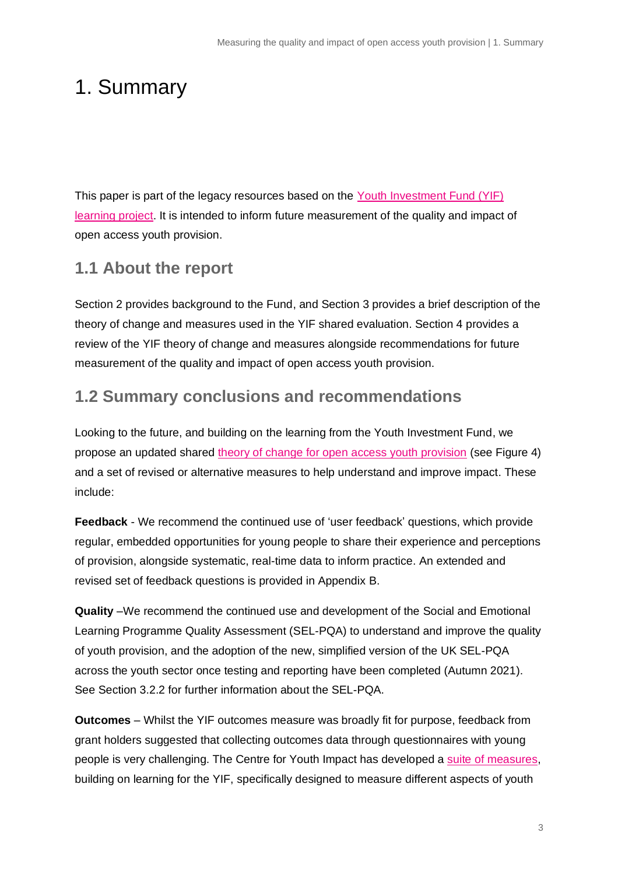# <span id="page-2-0"></span>1. Summary

This paper is part of the legacy resources based on the [Youth Investment Fund \(YIF\)](https://www.youthimpact.uk/yif-learning-project)  [learning project.](https://www.youthimpact.uk/yif-learning-project) It is intended to inform future measurement of the quality and impact of open access youth provision.

# <span id="page-2-1"></span>**1.1 About the report**

Section 2 provides background to the Fund, and Section 3 provides a brief description of the theory of change and measures used in the YIF shared evaluation. Section 4 provides a review of the YIF theory of change and measures alongside recommendations for future measurement of the quality and impact of open access youth provision.

## <span id="page-2-2"></span>**1.2 Summary conclusions and recommendations**

Looking to the future, and building on the learning from the Youth Investment Fund, we propose an updated shared [theory of change for open access youth provision](https://www.youthimpact.uk/yif-learning-project) (see Figure 4) and a set of revised or alternative measures to help understand and improve impact. These include:

**Feedback** - We recommend the continued use of 'user feedback' questions, which provide regular, embedded opportunities for young people to share their experience and perceptions of provision, alongside systematic, real-time data to inform practice. An extended and revised set of feedback questions is provided in Appendix B.

**Quality** –We recommend the continued use and development of the Social and Emotional Learning Programme Quality Assessment (SEL-PQA) to understand and improve the quality of youth provision, and the adoption of the new, simplified version of the UK SEL-PQA across the youth sector once testing and reporting have been completed (Autumn 2021). See Section 3.2.2 for further information about the SEL-PQA.

**Outcomes** – Whilst the YIF outcomes measure was broadly fit for purpose, feedback from grant holders suggested that collecting outcomes data through questionnaires with young people is very challenging. The Centre for Youth Impact has developed a suite [of measures,](https://www.youthimpact.uk/what-we-do/measuring-youth-provision) building on learning for the YIF, specifically designed to measure different aspects of youth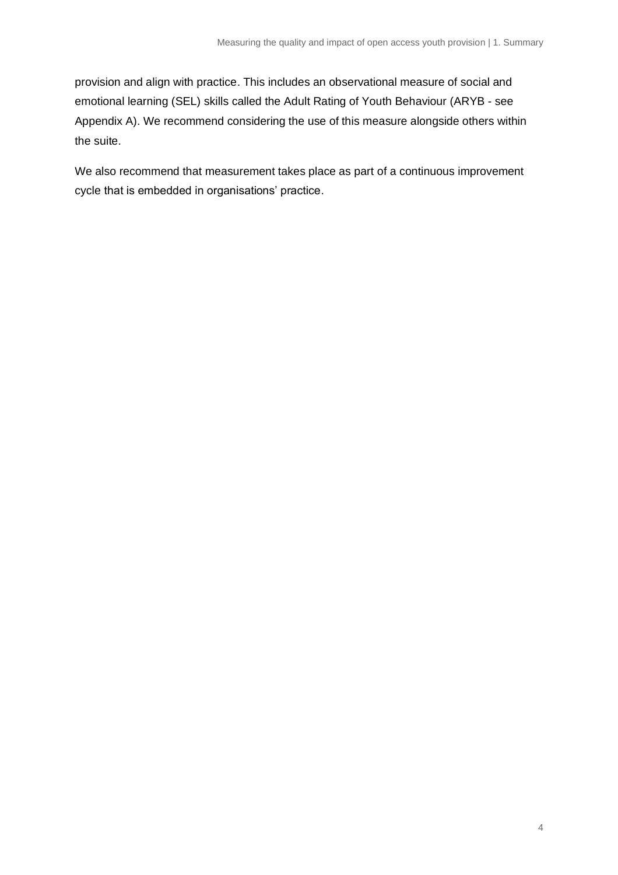provision and align with practice. This includes an observational measure of social and emotional learning (SEL) skills called the Adult Rating of Youth Behaviour (ARYB - see Appendix A). We recommend considering the use of this measure alongside others within the suite.

We also recommend that measurement takes place as part of a continuous improvement cycle that is embedded in organisations' practice.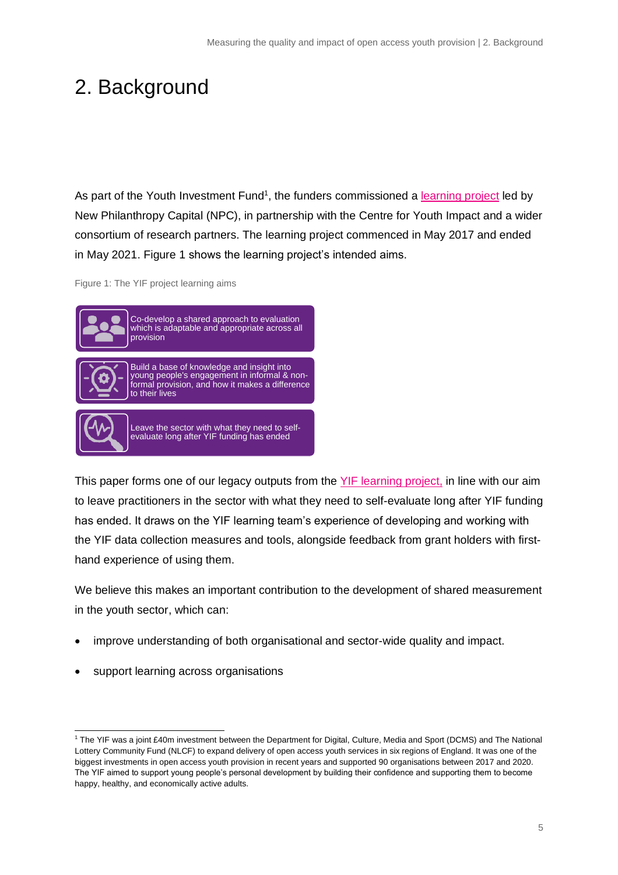# <span id="page-4-0"></span>2. Background

As part of the Youth Investment Fund<sup>1</sup>, the funders commissioned a [learning project](https://yiflearning.org/) led by New Philanthropy Capital (NPC), in partnership with the Centre for Youth Impact and a wider [consortium of research partners.](https://yiflearning.org/about/learning-and-impact-partners/) The learning project commenced in May 2017 and ended in May 2021. Figure 1 shows the learning project's intended aims.

Figure 1: The YIF project learning aims



This paper forms one of our legacy outputs from the [YIF learning project,](https://yiflearning.org/) in line with our aim to leave practitioners in the sector with what they need to self-evaluate long after YIF funding has ended. It draws on the YIF learning team's experience of developing and working with the YIF data collection measures and tools, alongside feedback from grant holders with firsthand experience of using them.

We believe this makes an important contribution to the development of shared measurement in the youth sector, which can:

- improve understanding of both organisational and sector-wide quality and impact.
- support learning across organisations

<sup>1</sup> The YIF was a joint £40m investment between the Department for Digital, Culture, Media and Sport (DCMS) and The National Lottery Community Fund (NLCF) to expand delivery of open access youth services in six regions of England. It was one of the biggest investments in open access youth provision in recent years and supported 90 organisations between 2017 and 2020. The YIF aimed to support young people's personal development by building their confidence and supporting them to become happy, healthy, and economically active adults.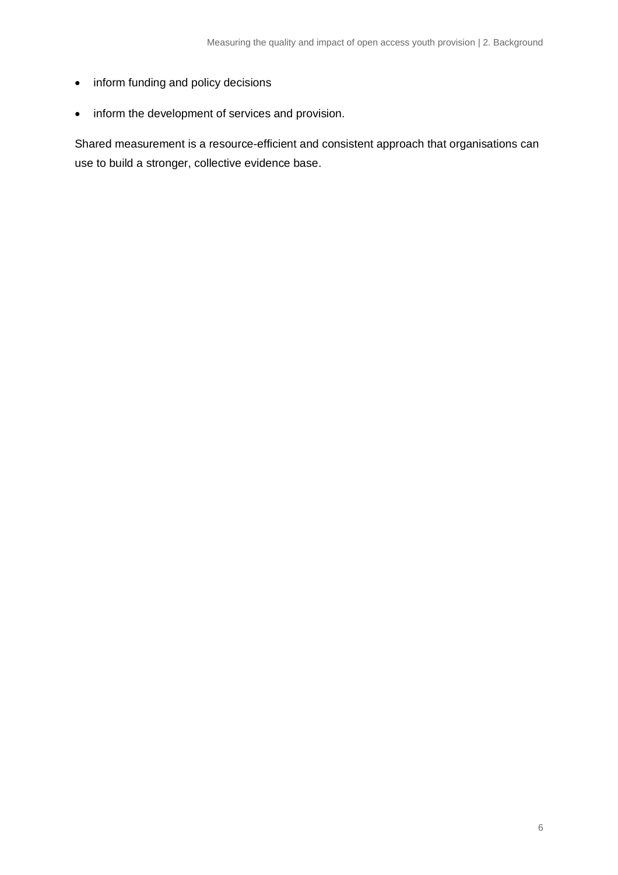- inform funding and policy decisions
- inform the development of services and provision.

Shared measurement is a resource-efficient and consistent approach that organisations can use to build a stronger, collective evidence base.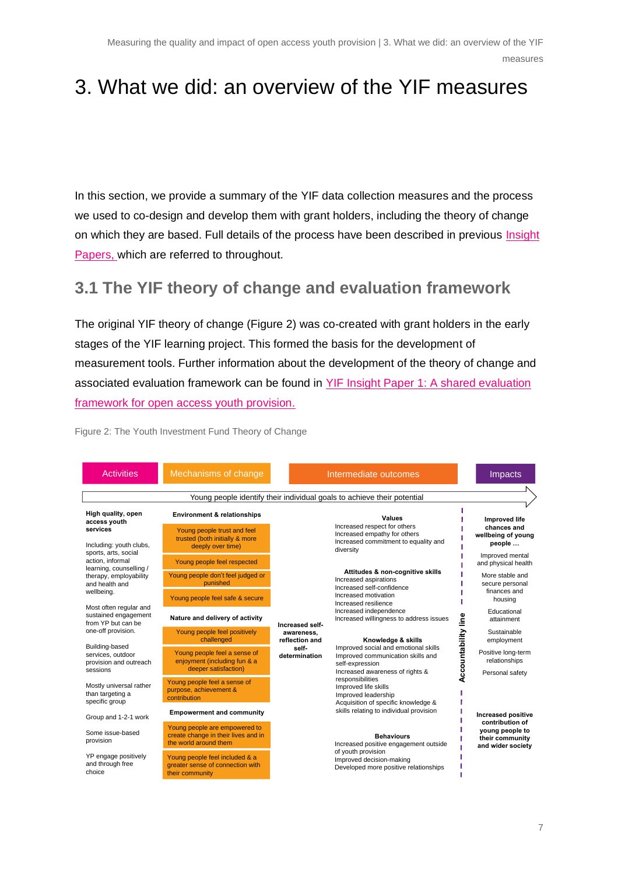# <span id="page-6-0"></span>3. What we did: an overview of the YIF measures

In this section, we provide a summary of the YIF data collection measures and the process we used to co-design and develop them with grant holders, including the theory of change on which they are based. Full details of the process have been described in previous [Insight](https://www.youthimpact.uk/yif-learning-project)  [Papers,](https://www.youthimpact.uk/yif-learning-project) which are referred to throughout.

## <span id="page-6-1"></span>**3.1 The YIF theory of change and evaluation framework**

The original YIF theory of change (Figure 2) was co-created with grant holders in the early stages of the YIF learning project. This formed the basis for the development of measurement tools. Further information about the development of the theory of change and associated evaluation framework can be found in [YIF Insight Paper 1: A shared evaluation](https://www.youthimpact.uk/yif-learning-project)  framework [for open access youth provision.](https://www.youthimpact.uk/yif-learning-project)

Activities Mechanisms of change Intermediate outcomes Intermediate outcomes Young people identify their individual goals to achieve their potential **High quality, open Environment & relationships Values Improved life access youth** Increased respect for others **chances and services** Young people trust and feel п Increased empathy for others **wellbeing of young** trusted (both initially & more п Increased commitment to equality and Including: youth clubs, **people …** deeply over time) п diversity sports, arts, social Improved mental action, informal Young people feel respected and physical health learning, counselling / **Attitudes & non-cognitive skills** Young people don't feel judged or therapy, employability More stable and Increased aspirations punished secure personal and health and Increased self-confidence finances and wellbeing. Increased motivation Young people feel safe & secure housing Increased resilience л Most often regular and Increased independence Educational sustained engagement **Nature and delivery of activity** e<br>ا Increased willingness to address issues **Accountability line** attainment from YP but can be **Increased self-**Sustainable one-off provision. Young people feel positively **awareness,** Accountability challenged **reflection and Knowledge & skills** employment Building-based Improved social and emotional skills **self-**Young people feel a sense of Positive long-term services, outdoor **determination** Improved communication skills and provision and outreach enjoyment (including fun & a relationships self-expression deeper satisfaction) sessions Increased awareness of rights & Personal safety responsibilities Young people feel a sense of Mostly universal rather Improved life skills purpose, achievement & than targeting a Improved leadership contribution specific group Acquisition of specific knowledge & skills relating to individual provision T. **Empowerment and community Increased positive** Group and 1-2-1 work **contribution of** Young people are empowered to **young people to** Some issue-based create change in their lives and in **Behaviours their community** provision the world around them Increased positive engagement outside **and wider society** of youth provision YP engage positively Young people feel included & a Improved decision-making and through free greater sense of connection with Developed more positive relationships J. choice their community J.

Figure 2: The Youth Investment Fund Theory of Change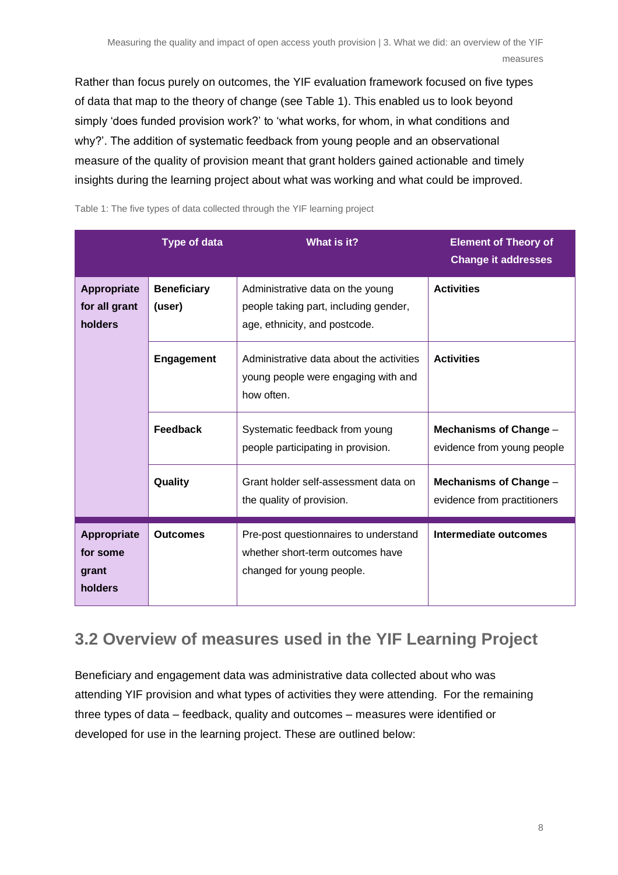Rather than focus purely on outcomes, the YIF evaluation framework focused on five types of data that map to the theory of change (see Table 1). This enabled us to look beyond simply 'does funded provision work?' to 'what works, for whom, in what conditions and why?'. The addition of systematic feedback from young people and an observational measure of the quality of provision meant that grant holders gained actionable and timely insights during the learning project about what was working and what could be improved.

**Type of data What is it? Element of Theory of Change it addresses Appropriate for all grant holders Beneficiary (user)** Administrative data on the young people taking part, including gender, age, ethnicity, and postcode. **Activities Engagement** | Administrative data about the activities young people were engaging with and how often. **Activities Feedback** | Systematic feedback from young people participating in provision. **Mechanisms of Change** – evidence from young people **Quality Grant holder self-assessment data on** the quality of provision. **Mechanisms of Change** – evidence from practitioners **Appropriate for some grant holders Outcomes** | Pre-post questionnaires to understand whether short-term outcomes have changed for young people. **Intermediate outcomes**

Table 1: The five types of data collected through the YIF learning project

# <span id="page-7-0"></span>**3.2 Overview of measures used in the YIF Learning Project**

Beneficiary and engagement data was administrative data collected about who was attending YIF provision and what types of activities they were attending. For the remaining three types of data – feedback, quality and outcomes – measures were identified or developed for use in the learning project. These are outlined below: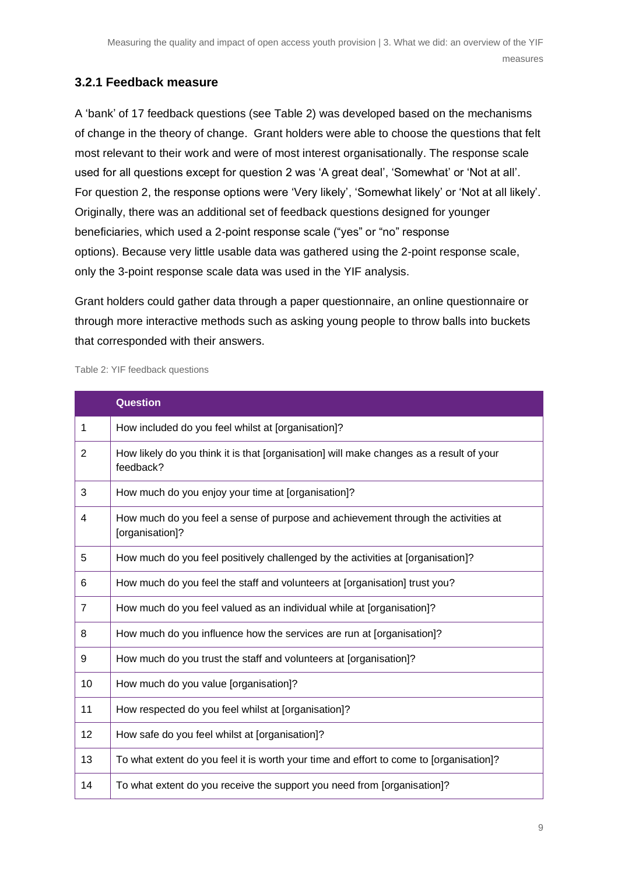### **3.2.1 Feedback measure**

A 'bank' of 17 feedback questions (see Table 2) was developed based on the mechanisms of change in the theory of change. Grant holders were able to choose the questions that felt most relevant to their work and were of most interest organisationally. The response scale used for all questions except for question 2 was 'A great deal', 'Somewhat' or 'Not at all'. For question 2, the response options were 'Very likely', 'Somewhat likely' or 'Not at all likely'. Originally, there was an additional set of feedback questions designed for younger beneficiaries, which used a 2-point response scale ("yes" or "no" response options). Because very little usable data was gathered using the 2-point response scale, only the 3-point response scale data was used in the YIF analysis.

Grant holders could gather data through a paper questionnaire, an online questionnaire or through more interactive methods such as asking young people to throw balls into buckets that corresponded with their answers.

Table 2: YIF feedback questions

|                | <b>Question</b>                                                                                      |
|----------------|------------------------------------------------------------------------------------------------------|
| 1              | How included do you feel whilst at [organisation]?                                                   |
| $\overline{2}$ | How likely do you think it is that [organisation] will make changes as a result of your<br>feedback? |
| 3              | How much do you enjoy your time at [organisation]?                                                   |
| 4              | How much do you feel a sense of purpose and achievement through the activities at<br>[organisation]? |
| 5              | How much do you feel positively challenged by the activities at [organisation]?                      |
| 6              | How much do you feel the staff and volunteers at [organisation] trust you?                           |
| $\overline{7}$ | How much do you feel valued as an individual while at [organisation]?                                |
| 8              | How much do you influence how the services are run at [organisation]?                                |
| 9              | How much do you trust the staff and volunteers at [organisation]?                                    |
| 10             | How much do you value [organisation]?                                                                |
| 11             | How respected do you feel whilst at [organisation]?                                                  |
| 12             | How safe do you feel whilst at [organisation]?                                                       |
| 13             | To what extent do you feel it is worth your time and effort to come to [organisation]?               |
| 14             | To what extent do you receive the support you need from [organisation]?                              |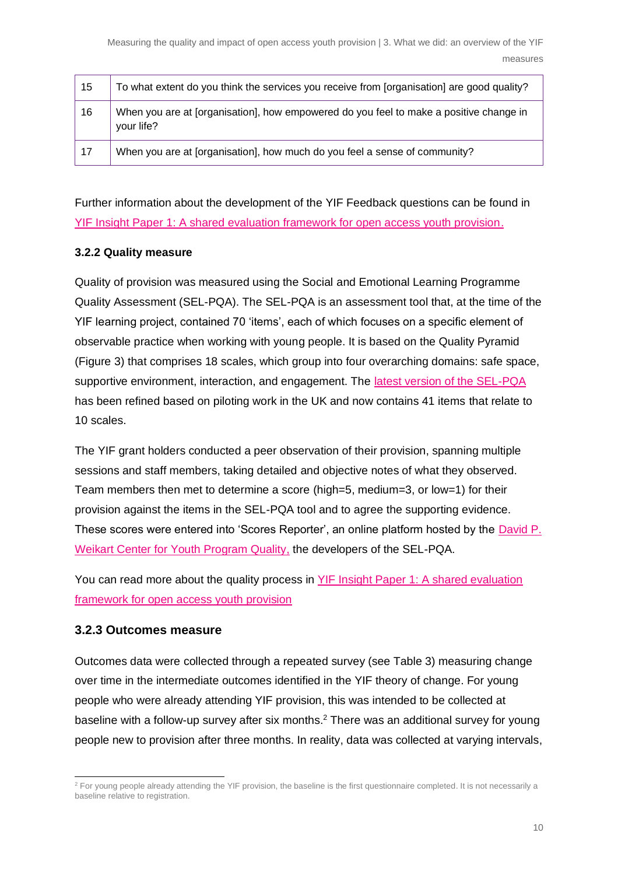| 15 | To what extent do you think the services you receive from [organisation] are good quality?           |
|----|------------------------------------------------------------------------------------------------------|
| 16 | When you are at [organisation], how empowered do you feel to make a positive change in<br>your life? |
| 17 | When you are at [organisation], how much do you feel a sense of community?                           |

Further information about the development of the YIF Feedback questions can be found in [YIF Insight Paper 1: A shared evaluation framework for open access youth provision.](https://yiflearning.org/wp-content/uploads/2019/04/YIF-learning-and-insight-paper.pdf)

#### **3.2.2 Quality measure**

Quality of provision was measured using the Social and Emotional Learning Programme Quality Assessment (SEL-PQA). The SEL-PQA is an assessment tool that, at the time of the YIF learning project, contained 70 'items', each of which focuses on a specific element of observable practice when working with young people. It is based on the Quality Pyramid (Figure 3) that comprises 18 scales, which group into four overarching domains: safe space, supportive environment, interaction, and engagement. The [latest version of the SEL-PQA](https://www.youthimpact.uk/ypqi-uk) has been refined based on piloting work in the UK and now contains 41 items that relate to 10 scales.

The YIF grant holders conducted a peer observation of their provision, spanning multiple sessions and staff members, taking detailed and objective notes of what they observed. Team members then met to determine a score (high=5, medium=3, or low=1) for their provision against the items in the SEL-PQA tool and to agree the supporting evidence. These scores were entered into 'Scores Reporter', an online platform hosted by the [David P.](https://forumfyi.org/work/the-weikart-center/)  [Weikart Center for Youth Program Quality,](https://forumfyi.org/work/the-weikart-center/) the developers of the SEL-PQA.

You can read more about the quality process in [YIF Insight Paper 1: A shared evaluation](https://yiflearning.org/wp-content/uploads/2019/04/YIF-learning-and-insight-paper.pdf)  [framework for open access youth provision](https://yiflearning.org/wp-content/uploads/2019/04/YIF-learning-and-insight-paper.pdf)

### **3.2.3 Outcomes measure**

Outcomes data were collected through a repeated survey (see Table 3) measuring change over time in the intermediate outcomes identified in the YIF theory of change. For young people who were already attending YIF provision, this was intended to be collected at baseline with a follow-up survey after six months.<sup>2</sup> There was an additional survey for young people new to provision after three months. In reality, data was collected at varying intervals,

<sup>&</sup>lt;sup>2</sup> For young people already attending the YIF provision, the baseline is the first questionnaire completed. It is not necessarily a baseline relative to registration.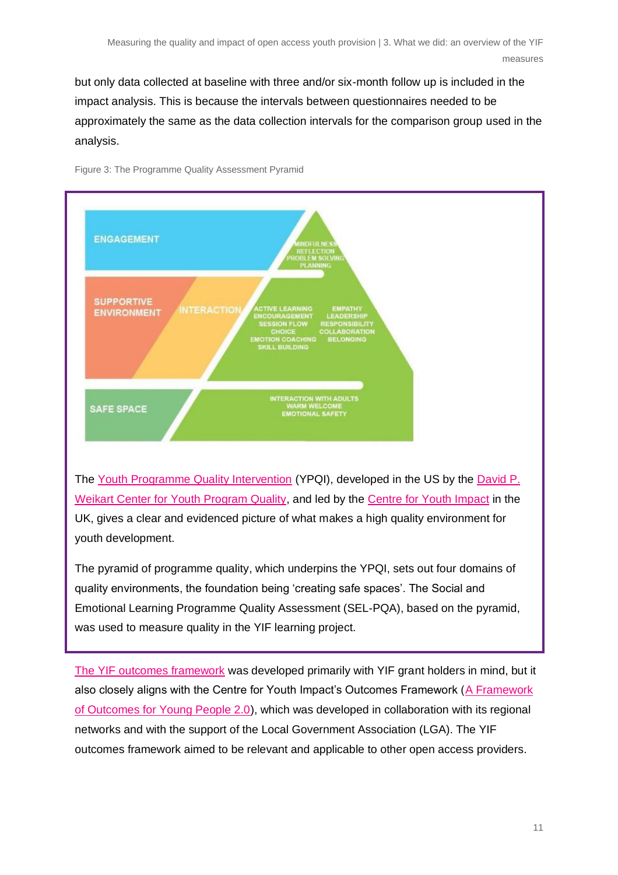but only data collected at baseline with three and/or six-month follow up is included in the impact analysis. This is because the intervals between questionnaires needed to be approximately the same as the data collection intervals for the comparison group used in the analysis.





[Weikart Center for Youth Program Quality,](https://forumfyi.org/work/the-weikart-center/) and led by the [Centre for Youth Impact](https://www.youthimpact.uk/) in the UK, gives a clear and evidenced picture of what makes a high quality environment for youth development.

The pyramid of programme quality, which underpins the YPQI, sets out four domains of quality environments, the foundation being 'creating safe spaces'. The Social and Emotional Learning Programme Quality Assessment (SEL-PQA), based on the pyramid, was used to measure quality in the YIF learning project.

[The YIF outcomes framework](https://yiflearning.org/wp-content/uploads/2020/08/YIF-Paper-Three.pdf) was developed primarily with YIF grant holders in mind, but it also closely aligns with the Centre for Youth Impact's Outcomes Framework [\(A Framework](https://www.youthimpact.uk/uploads/1/1/4/1/114154335/outcomes_framework_report_final.pdf)  [of Outcomes for Young People 2.0\)](https://www.youthimpact.uk/uploads/1/1/4/1/114154335/outcomes_framework_report_final.pdf), which was developed in collaboration with its regional networks and with the support of the Local Government Association (LGA). The YIF outcomes framework aimed to be relevant and applicable to other open access providers.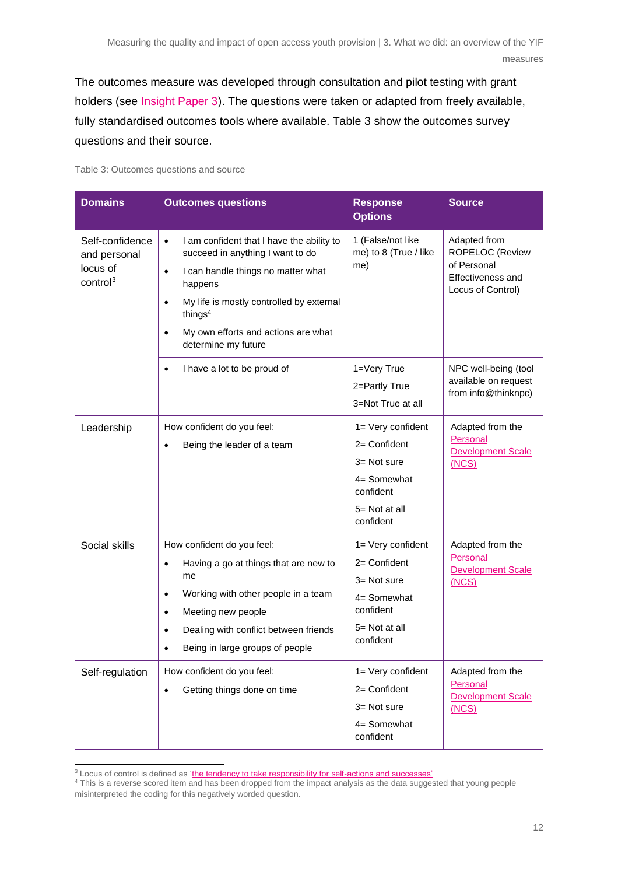The outcomes measure was developed through consultation and pilot testing with grant holders (see [Insight Paper 3\)](https://www.thinknpc.org/resource-hub/youth-investment-fund-learning-and-insight-paper-three/). The questions were taken or adapted from freely available, fully standardised outcomes tools where available. Table 3 show the outcomes survey questions and their source.

Table 3: Outcomes questions and source

| <b>Domains</b>                                                      | <b>Outcomes questions</b>                                                                                                                                                                                                                                                                                           | <b>Response</b><br><b>Options</b>                                                                            | <b>Source</b>                                                                            |
|---------------------------------------------------------------------|---------------------------------------------------------------------------------------------------------------------------------------------------------------------------------------------------------------------------------------------------------------------------------------------------------------------|--------------------------------------------------------------------------------------------------------------|------------------------------------------------------------------------------------------|
| Self-confidence<br>and personal<br>locus of<br>control <sup>3</sup> | I am confident that I have the ability to<br>$\bullet$<br>succeed in anything I want to do<br>I can handle things no matter what<br>$\bullet$<br>happens<br>My life is mostly controlled by external<br>$\bullet$<br>things <sup>4</sup><br>My own efforts and actions are what<br>$\bullet$<br>determine my future | 1 (False/not like<br>me) to 8 (True / like<br>me)                                                            | Adapted from<br>ROPELOC (Review<br>of Personal<br>Effectiveness and<br>Locus of Control) |
|                                                                     | I have a lot to be proud of<br>$\bullet$                                                                                                                                                                                                                                                                            | 1=Very True<br>2=Partly True<br>3=Not True at all                                                            | NPC well-being (tool<br>available on request<br>from info@thinknpc)                      |
| Leadership                                                          | How confident do you feel:<br>Being the leader of a team<br>$\bullet$                                                                                                                                                                                                                                               | 1= Very confident<br>$2=$ Confident<br>3= Not sure<br>4= Somewhat<br>confident<br>5= Not at all<br>confident | Adapted from the<br>Personal<br><b>Development Scale</b><br>(NCS)                        |
| Social skills                                                       | How confident do you feel:<br>Having a go at things that are new to<br>$\bullet$<br>me<br>Working with other people in a team<br>$\bullet$<br>Meeting new people<br>$\bullet$<br>Dealing with conflict between friends<br>$\bullet$<br>Being in large groups of people                                              | 1= Very confident<br>$2=$ Confident<br>3= Not sure<br>4= Somewhat<br>confident<br>5= Not at all<br>confident | Adapted from the<br>Personal<br><b>Development Scale</b><br>(NCS)                        |
| Self-regulation                                                     | How confident do you feel:<br>Getting things done on time<br>$\bullet$                                                                                                                                                                                                                                              | 1= Very confident<br>2= Confident<br>3= Not sure<br>4= Somewhat<br>confident                                 | Adapted from the<br>Personal<br><b>Development Scale</b><br>(NCS)                        |

 $3$  Locus of control is defined as ['the tendency to take responsibility for self-actions and successes'](https://www.researchgate.net/profile/Louise-Ellis-3/publication/242123578_The_ROPELOC_Review_of_Personal_Effectiveness_and_Locus_of_Control_A_Comprehensive_Instrument_for_Reviewing_Life_Effectiveness/links/0deec53c8adbb5f02e000000/The-ROPELOC-Review-of-Personal-Effectiveness-and-Locus-of-Control-A-Comprehensive-Instrument-for-Reviewing-Life-Effectiveness.pdf)

<sup>&</sup>lt;sup>4</sup> This is a reverse scored item and has been dropped from the impact analysis as the data suggested that young people misinterpreted the coding for this negatively worded question.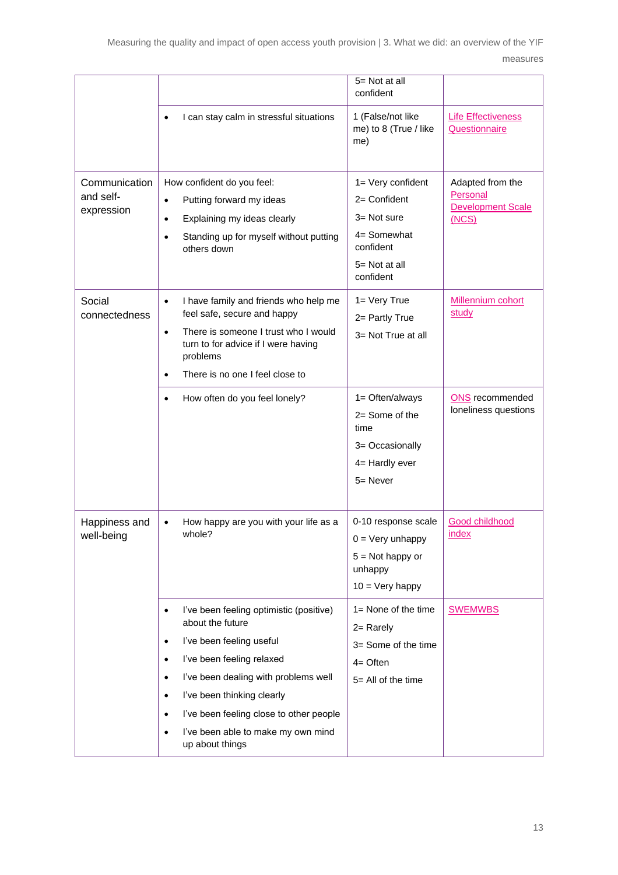Measuring the quality and impact of open access youth provision | 3. What we did: an overview of the YIF measures

|                                          |                                                                                                                                                                                                                                                                                                                                                                                           | 5= Not at all<br>confident                                                                                      |                                                                   |
|------------------------------------------|-------------------------------------------------------------------------------------------------------------------------------------------------------------------------------------------------------------------------------------------------------------------------------------------------------------------------------------------------------------------------------------------|-----------------------------------------------------------------------------------------------------------------|-------------------------------------------------------------------|
|                                          | I can stay calm in stressful situations<br>$\bullet$                                                                                                                                                                                                                                                                                                                                      | 1 (False/not like<br>me) to 8 (True / like<br>me)                                                               | <b>Life Effectiveness</b><br>Questionnaire                        |
| Communication<br>and self-<br>expression | How confident do you feel:<br>Putting forward my ideas<br>$\bullet$<br>Explaining my ideas clearly<br>$\bullet$<br>Standing up for myself without putting<br>$\bullet$<br>others down                                                                                                                                                                                                     | 1= Very confident<br>$2=$ Confident<br>$3 = Not sure$<br>4= Somewhat<br>confident<br>5= Not at all<br>confident | Adapted from the<br>Personal<br><b>Development Scale</b><br>(NCS) |
| Social<br>connectedness                  | I have family and friends who help me<br>$\bullet$<br>feel safe, secure and happy<br>There is someone I trust who I would<br>$\bullet$<br>turn to for advice if I were having<br>problems<br>There is no one I feel close to<br>$\bullet$                                                                                                                                                 | $1 = Very True$<br>2= Partly True<br>3= Not True at all                                                         | Millennium cohort<br>study                                        |
|                                          | How often do you feel lonely?<br>$\bullet$                                                                                                                                                                                                                                                                                                                                                | 1= Often/always<br>$2=$ Some of the<br>time<br>3= Occasionally<br>4= Hardly ever<br>$5 =$ Never                 | <b>ONS</b> recommended<br>loneliness questions                    |
| Happiness and<br>well-being              | How happy are you with your life as a<br>$\bullet$<br>whole?                                                                                                                                                                                                                                                                                                                              | 0-10 response scale<br>$0 = \text{Very unhappy}$<br>$5 = Not happy or$<br>unhappy<br>$10 = \text{Very happy}$   | <b>Good childhood</b><br>index                                    |
|                                          | l've been feeling optimistic (positive)<br>$\bullet$<br>about the future<br>I've been feeling useful<br>$\bullet$<br>I've been feeling relaxed<br>$\bullet$<br>I've been dealing with problems well<br>$\bullet$<br>I've been thinking clearly<br>$\bullet$<br>I've been feeling close to other people<br>$\bullet$<br>I've been able to make my own mind<br>$\bullet$<br>up about things | $1 =$ None of the time<br>$2 =$ Rarely<br>3= Some of the time<br>$4=$ Often<br>$5 =$ All of the time            | <b>SWEMWBS</b>                                                    |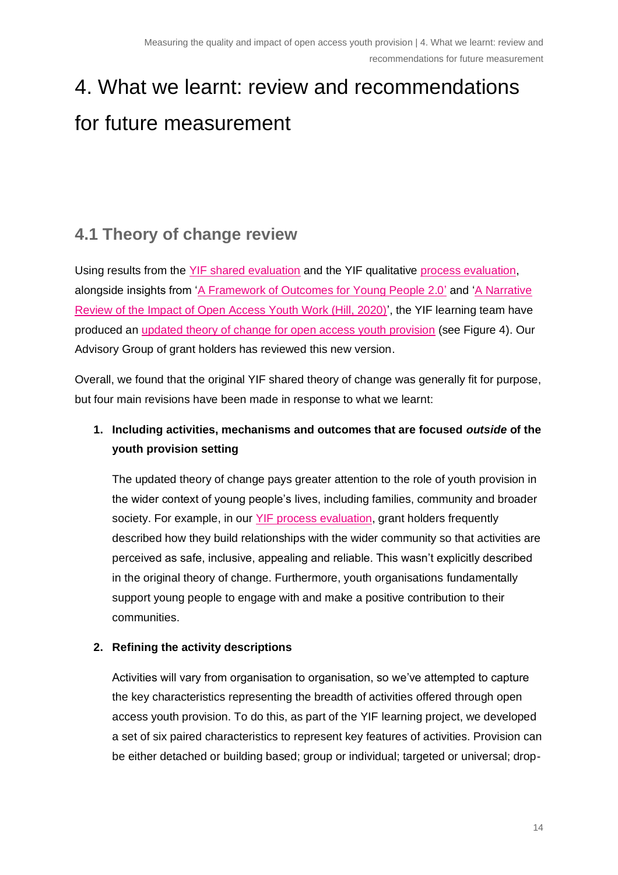# <span id="page-13-0"></span>4. What we learnt: review and recommendations for future measurement

# <span id="page-13-1"></span>**4.1 Theory of change review**

Using results from the [YIF shared evaluation](https://www.youthimpact.uk/yif-learning-project) and the YIF qualitative [process evaluation,](https://yiflearning.org/wp-content/uploads/2020/11/YIF-IP5-YIF-case-study-process-evaluation.pdf) alongside insights from ['A Framework of Outcomes for Young People 2.0'](https://www.youthimpact.uk/uploads/1/1/4/1/114154335/outcomes_framework_report_final.pdf) and ['A Narrative](https://www.partnershipforyounglondon.org.uk/post/open-access-youth-work-a-narrative-review-of-impact)  Review [of the Impact of Open Access Youth Work \(Hill, 2020\)'](https://www.partnershipforyounglondon.org.uk/post/open-access-youth-work-a-narrative-review-of-impact), the YIF learning team have produced an [updated theory of change for open access youth provision](https://www.youthimpact.uk/yif-learning-project) (see Figure 4). Our Advisory Group of grant holders has reviewed this new version.

Overall, we found that the original YIF shared theory of change was generally fit for purpose, but four main revisions have been made in response to what we learnt:

## **1. Including activities, mechanisms and outcomes that are focused** *outside* **of the youth provision setting**

The updated theory of change pays greater attention to the role of youth provision in the wider context of young people's lives, including families, community and broader society. For example, in our [YIF process evaluation,](https://yiflearning.org/wp-content/uploads/2020/11/YIF-IP5-YIF-case-study-process-evaluation.pdf) grant holders frequently described how they build relationships with the wider community so that activities are perceived as safe, inclusive, appealing and reliable. This wasn't explicitly described in the original theory of change. Furthermore, youth organisations fundamentally support young people to engage with and make a positive contribution to their communities.

### **2. Refining the activity descriptions**

Activities will vary from organisation to organisation, so we've attempted to capture the key characteristics representing the breadth of activities offered through open access youth provision. To do this, as part of the YIF learning project, we developed a set of six paired characteristics to represent key features of activities. Provision can be either detached or building based; group or individual; targeted or universal; drop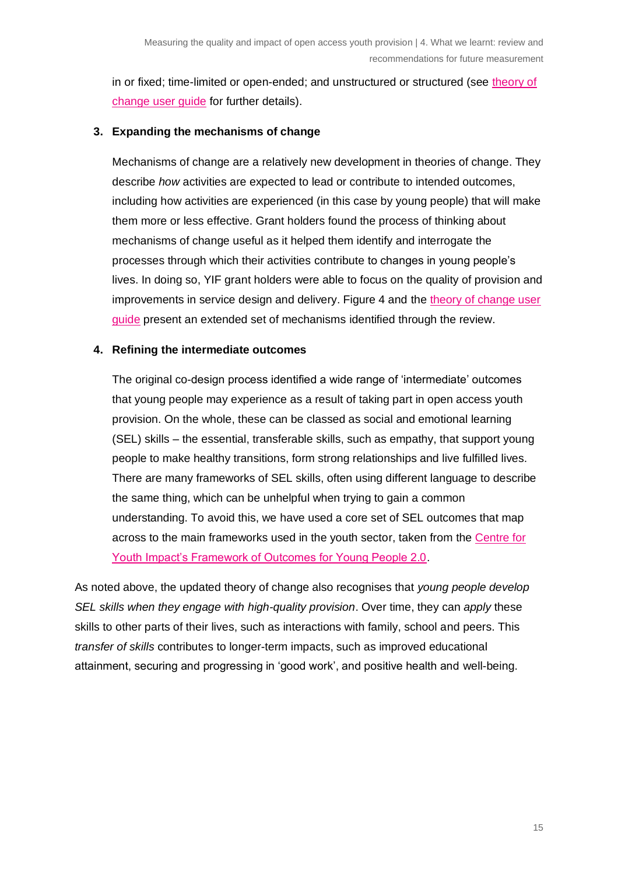in or fixed; time-limited or open-ended; and unstructured or structured (see [theory of](https://www.youthimpact.uk/yif-learning-project)  [change user guide](https://www.youthimpact.uk/yif-learning-project) for further details).

#### **3. Expanding the mechanisms of change**

Mechanisms of change are a relatively new development in theories of change. They describe *how* activities are expected to lead or contribute to intended outcomes, including how activities are experienced (in this case by young people) that will make them more or less effective. Grant holders found the process of thinking about mechanisms of change useful as it helped them identify and interrogate the processes through which their activities contribute to changes in young people's lives. In doing so, YIF grant holders were able to focus on the quality of provision and improvements in service design and delivery. Figure 4 and the theory of change user [guide](https://www.youthimpact.uk/yif-learning-project) present an extended set of mechanisms identified through the review.

#### **4. Refining the intermediate outcomes**

The original co-design process identified a wide range of 'intermediate' outcomes that young people may experience as a result of taking part in open access youth provision. On the whole, these can be classed as social and emotional learning (SEL) skills – the essential, transferable skills, such as empathy, that support young people to make healthy transitions, form strong relationships and live fulfilled lives. There are many frameworks of SEL skills, often using different language to describe the same thing, which can be unhelpful when trying to gain a common understanding. To avoid this, we have used a core set of SEL outcomes that map across to the main frameworks used in the youth sector, taken from the Centre for [Youth Impact's Framework of Outcomes for Young People 2.0.](https://www.youthimpact.uk/sites/default/files/2020-11/outcomes_framework_report_final.pdf)

As noted above, the updated theory of change also recognises that *young people develop SEL skills when they engage with high-quality provision*. Over time, they can *apply* these skills to other parts of their lives, such as interactions with family, school and peers. This *transfer of skills* contributes to longer-term impacts, such as improved educational attainment, securing and progressing in 'good work', and positive health and well-being.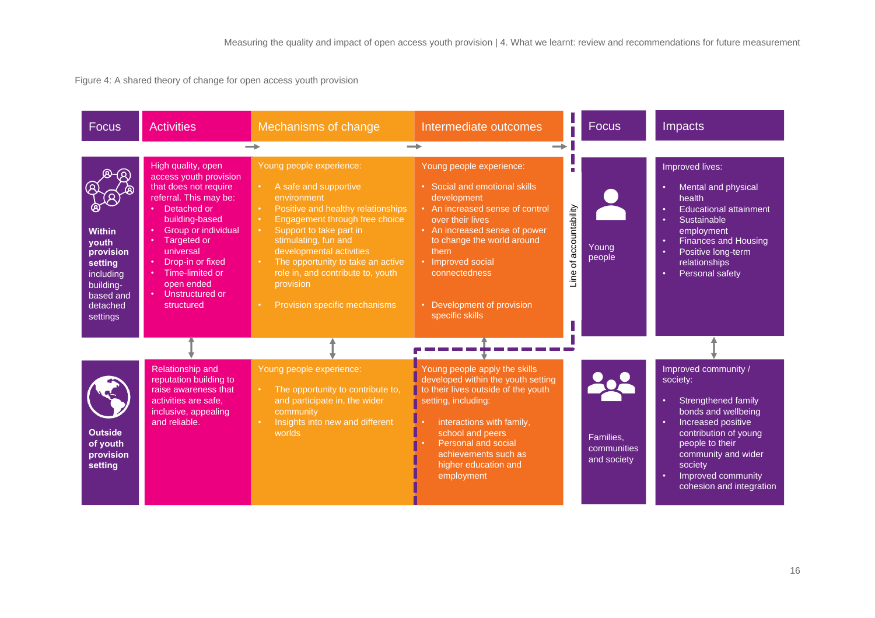Figure 4: A shared theory of change for open access youth provision

| <b>Focus</b>                                                                                                  | <b>Activities</b>                                                                                                                                                                                                                                                                                     | Mechanisms of change                                                                                                                                                                                                                                                                                                                                                                                        | Intermediate outcomes                                                                                                                                                                                                                                                                         | <b>Focus</b>                                   | Impacts                                                                                                                                                                                                                                   |
|---------------------------------------------------------------------------------------------------------------|-------------------------------------------------------------------------------------------------------------------------------------------------------------------------------------------------------------------------------------------------------------------------------------------------------|-------------------------------------------------------------------------------------------------------------------------------------------------------------------------------------------------------------------------------------------------------------------------------------------------------------------------------------------------------------------------------------------------------------|-----------------------------------------------------------------------------------------------------------------------------------------------------------------------------------------------------------------------------------------------------------------------------------------------|------------------------------------------------|-------------------------------------------------------------------------------------------------------------------------------------------------------------------------------------------------------------------------------------------|
|                                                                                                               |                                                                                                                                                                                                                                                                                                       |                                                                                                                                                                                                                                                                                                                                                                                                             | $\rightarrow$                                                                                                                                                                                                                                                                                 |                                                |                                                                                                                                                                                                                                           |
| <b>Within</b><br>youth<br>provision<br>setting<br>including<br>building-<br>based and<br>detached<br>settings | High quality, open<br>access youth provision<br>that does not require<br>referral. This may be:<br>• Detached or<br>building-based<br><b>Group or individual</b><br>• Targeted or<br>universal<br>Drop-in or fixed<br>$\bullet$<br>• Time-limited or<br>open ended<br>• Unstructured or<br>structured | Young people experience:<br>A safe and supportive<br>$\bullet$ .<br>environment<br>Positive and healthy relationships<br>$\bullet$ .<br>Engagement through free choice<br>Support to take part in<br>$\bullet$ .<br>stimulating, fun and<br>developmental activities<br>The opportunity to take an active<br>$\bullet$ .<br>role in, and contribute to, youth<br>provision<br>Provision specific mechanisms | Young people experience:<br>• Social and emotional skills<br>development<br>• An increased sense of control<br>over their lives<br>• An increased sense of power<br>to change the world around<br>them<br>• Improved social<br>connectedness<br>• Development of provision<br>specific skills | п<br>Line of accountability<br>Young<br>people | Improved lives:<br>Mental and physical<br>health<br><b>Educational attainment</b><br>Sustainable<br>employment<br><b>Finances and Housing</b><br>Positive long-term<br>relationships<br><b>Personal safety</b>                            |
|                                                                                                               |                                                                                                                                                                                                                                                                                                       |                                                                                                                                                                                                                                                                                                                                                                                                             |                                                                                                                                                                                                                                                                                               |                                                |                                                                                                                                                                                                                                           |
| <b>Outside</b><br>of youth<br>provision<br>setting                                                            | Relationship and<br>reputation building to<br>raise awareness that<br>activities are safe.<br>inclusive, appealing<br>and reliable.                                                                                                                                                                   | Young people experience:<br>The opportunity to contribute to,<br>$\bullet$ .<br>and participate in, the wider<br>community<br>Insights into new and different<br>worlds                                                                                                                                                                                                                                     | Young people apply the skills<br>developed within the youth setting<br>to their lives outside of the youth<br>setting, including:<br>interactions with family,<br>school and peers<br>Personal and social<br>achievements such as<br>higher education and<br>employment                       | Families,<br>communities<br>and society        | Improved community /<br>society:<br>Strengthened family<br>٠<br>bonds and wellbeing<br>Increased positive<br>contribution of young<br>people to their<br>community and wider<br>society<br>Improved community<br>cohesion and integration |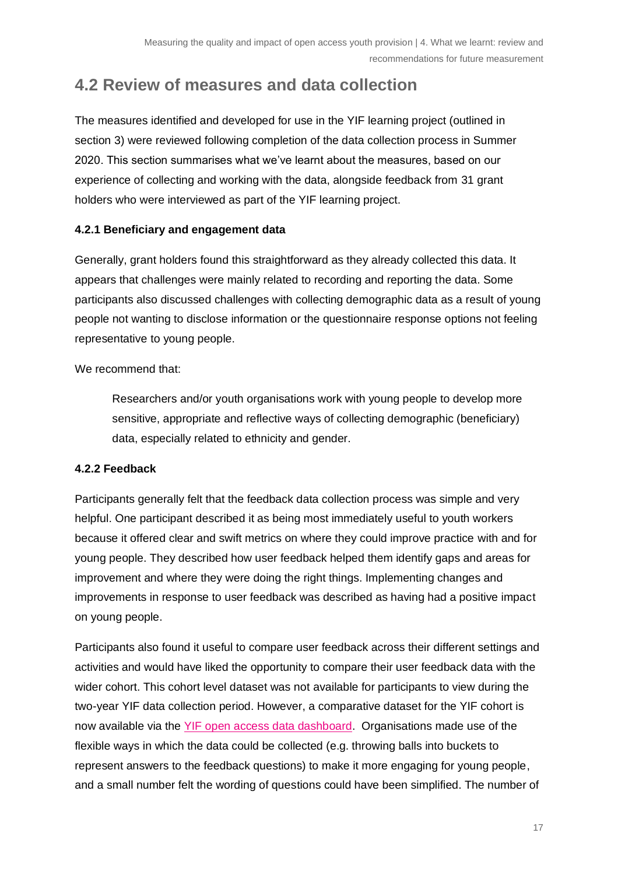## <span id="page-16-0"></span>**4.2 Review of measures and data collection**

The measures identified and developed for use in the YIF learning project (outlined in section 3) were reviewed following completion of the data collection process in Summer 2020. This section summarises what we've learnt about the measures, based on our experience of collecting and working with the data, alongside feedback from 31 grant holders who were interviewed as part of the YIF learning project.

#### **4.2.1 Beneficiary and engagement data**

Generally, grant holders found this straightforward as they already collected this data. It appears that challenges were mainly related to recording and reporting the data. Some participants also discussed challenges with collecting demographic data as a result of young people not wanting to disclose information or the questionnaire response options not feeling representative to young people.

We recommend that:

Researchers and/or youth organisations work with young people to develop more sensitive, appropriate and reflective ways of collecting demographic (beneficiary) data, especially related to ethnicity and gender.

#### **4.2.2 Feedback**

Participants generally felt that the feedback data collection process was simple and very helpful. One participant described it as being most immediately useful to youth workers because it offered clear and swift metrics on where they could improve practice with and for young people. They described how user feedback helped them identify gaps and areas for improvement and where they were doing the right things. Implementing changes and improvements in response to user feedback was described as having had a positive impact on young people.

Participants also found it useful to compare user feedback across their different settings and activities and would have liked the opportunity to compare their user feedback data with the wider cohort. This cohort level dataset was not available for participants to view during the two-year YIF data collection period. However, a comparative dataset for the YIF cohort is now available via the [YIF open access data dashboard.](https://www.thinknpc.org/resource-hub/yif-dashboard/) Organisations made use of the flexible ways in which the data could be collected (e.g. throwing balls into buckets to represent answers to the feedback questions) to make it more engaging for young people, and a small number felt the wording of questions could have been simplified. The number of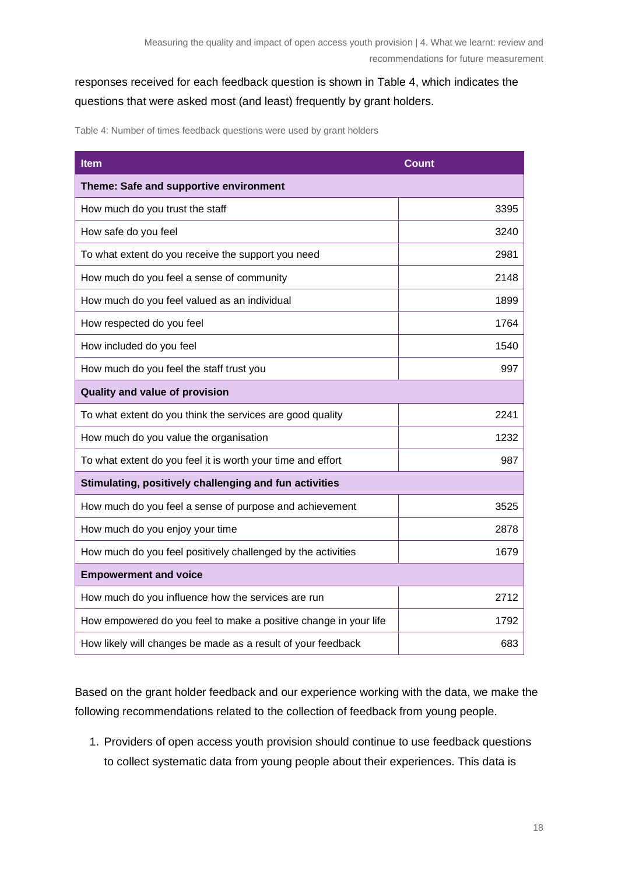## responses received for each feedback question is shown in Table 4, which indicates the questions that were asked most (and least) frequently by grant holders.

Table 4: Number of times feedback questions were used by grant holders

| <b>Item</b>                                                      | <b>Count</b> |
|------------------------------------------------------------------|--------------|
| Theme: Safe and supportive environment                           |              |
| How much do you trust the staff                                  | 3395         |
| How safe do you feel                                             | 3240         |
| To what extent do you receive the support you need               | 2981         |
| How much do you feel a sense of community                        | 2148         |
| How much do you feel valued as an individual                     | 1899         |
| How respected do you feel                                        | 1764         |
| How included do you feel                                         | 1540         |
| How much do you feel the staff trust you                         | 997          |
| Quality and value of provision                                   |              |
| To what extent do you think the services are good quality        | 2241         |
| How much do you value the organisation                           | 1232         |
| To what extent do you feel it is worth your time and effort      | 987          |
| Stimulating, positively challenging and fun activities           |              |
| How much do you feel a sense of purpose and achievement          | 3525         |
| How much do you enjoy your time                                  | 2878         |
| How much do you feel positively challenged by the activities     | 1679         |
| <b>Empowerment and voice</b>                                     |              |
| How much do you influence how the services are run               | 2712         |
| How empowered do you feel to make a positive change in your life | 1792         |
| How likely will changes be made as a result of your feedback     | 683          |

Based on the grant holder feedback and our experience working with the data, we make the following recommendations related to the collection of feedback from young people.

1. Providers of open access youth provision should continue to use feedback questions to collect systematic data from young people about their experiences. This data is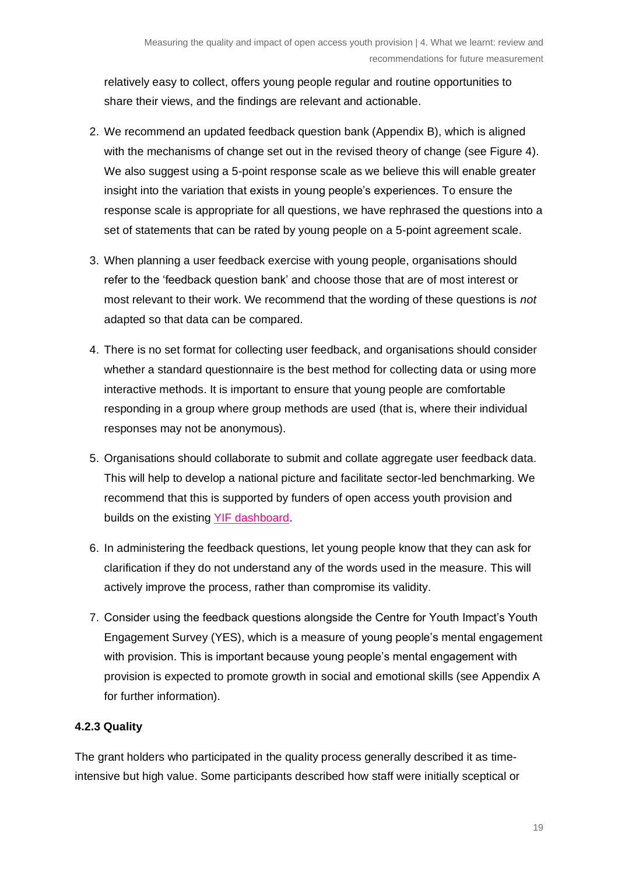relatively easy to collect, offers young people regular and routine opportunities to share their views, and the findings are relevant and actionable.

- 2. We recommend an updated feedback question bank (Appendix B), which is aligned with the mechanisms of change set out in the revised theory of change (see Figure 4). We also suggest using a 5-point response scale as we believe this will enable greater insight into the variation that exists in young people's experiences. To ensure the response scale is appropriate for all questions, we have rephrased the questions into a set of statements that can be rated by young people on a 5-point agreement scale.
- 3. When planning a user feedback exercise with young people, organisations should refer to the 'feedback question bank' and choose those that are of most interest or most relevant to their work. We recommend that the wording of these questions is *not*  adapted so that data can be compared.
- 4. There is no set format for collecting user feedback, and organisations should consider whether a standard questionnaire is the best method for collecting data or using more interactive methods. It is important to ensure that young people are comfortable responding in a group where group methods are used (that is, where their individual responses may not be anonymous).
- 5. Organisations should collaborate to submit and collate aggregate user feedback data. This will help to develop a national picture and facilitate sector-led benchmarking. We recommend that this is supported by funders of open access youth provision and builds on the existing [YIF dashboard.](https://www.thinknpc.org/resource-hub/yif-dashboard/)
- 6. In administering the feedback questions, let young people know that they can ask for clarification if they do not understand any of the words used in the measure. This will actively improve the process, rather than compromise its validity.
- 7. Consider using the feedback questions alongside the Centre for Youth Impact's Youth Engagement Survey (YES), which is a measure of young people's mental engagement with provision. This is important because young people's mental engagement with provision is expected to promote growth in social and emotional skills (see Appendix A for further information).

### **4.2.3 Quality**

The grant holders who participated in the quality process generally described it as timeintensive but high value. Some participants described how staff were initially sceptical or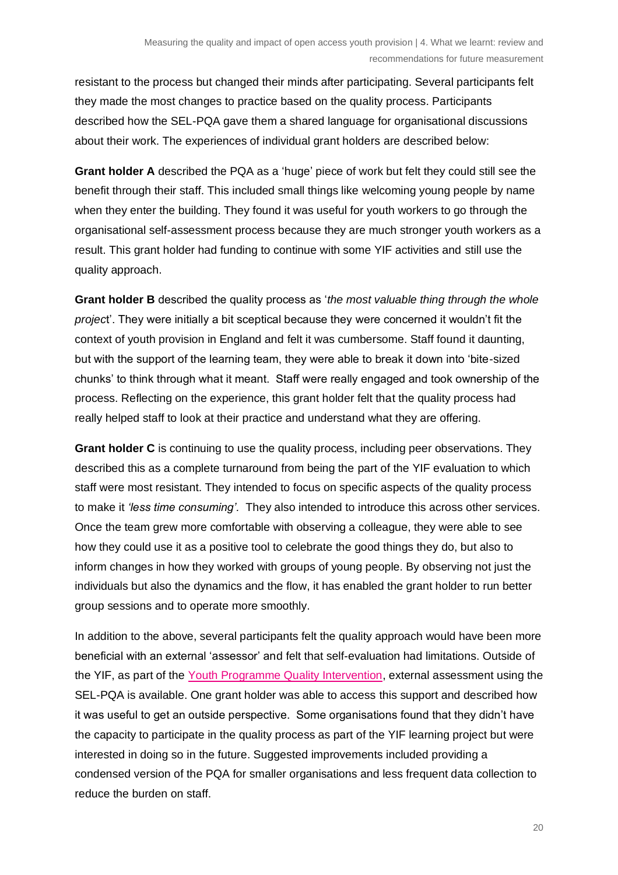resistant to the process but changed their minds after participating. Several participants felt they made the most changes to practice based on the quality process. Participants described how the SEL-PQA gave them a shared language for organisational discussions about their work. The experiences of individual grant holders are described below:

**Grant holder A** described the PQA as a 'huge' piece of work but felt they could still see the benefit through their staff. This included small things like welcoming young people by name when they enter the building. They found it was useful for youth workers to go through the organisational self-assessment process because they are much stronger youth workers as a result. This grant holder had funding to continue with some YIF activities and still use the quality approach.

**Grant holder B** described the quality process as '*the most valuable thing through the whole projec*t'. They were initially a bit sceptical because they were concerned it wouldn't fit the context of youth provision in England and felt it was cumbersome. Staff found it daunting, but with the support of the learning team, they were able to break it down into 'bite-sized chunks' to think through what it meant. Staff were really engaged and took ownership of the process. Reflecting on the experience, this grant holder felt that the quality process had really helped staff to look at their practice and understand what they are offering.

**Grant holder C** is continuing to use the quality process, including peer observations. They described this as a complete turnaround from being the part of the YIF evaluation to which staff were most resistant. They intended to focus on specific aspects of the quality process to make it *'less time consuming'.* They also intended to introduce this across other services. Once the team grew more comfortable with observing a colleague, they were able to see how they could use it as a positive tool to celebrate the good things they do, but also to inform changes in how they worked with groups of young people. By observing not just the individuals but also the dynamics and the flow, it has enabled the grant holder to run better group sessions and to operate more smoothly.

In addition to the above, several participants felt the quality approach would have been more beneficial with an external 'assessor' and felt that self-evaluation had limitations. Outside of the YIF, as part of the [Youth Programme Quality Intervention,](https://www.youthimpact.uk/ypqi-uk) external assessment using the SEL-PQA is available. One grant holder was able to access this support and described how it was useful to get an outside perspective. Some organisations found that they didn't have the capacity to participate in the quality process as part of the YIF learning project but were interested in doing so in the future. Suggested improvements included providing a condensed version of the PQA for smaller organisations and less frequent data collection to reduce the burden on staff.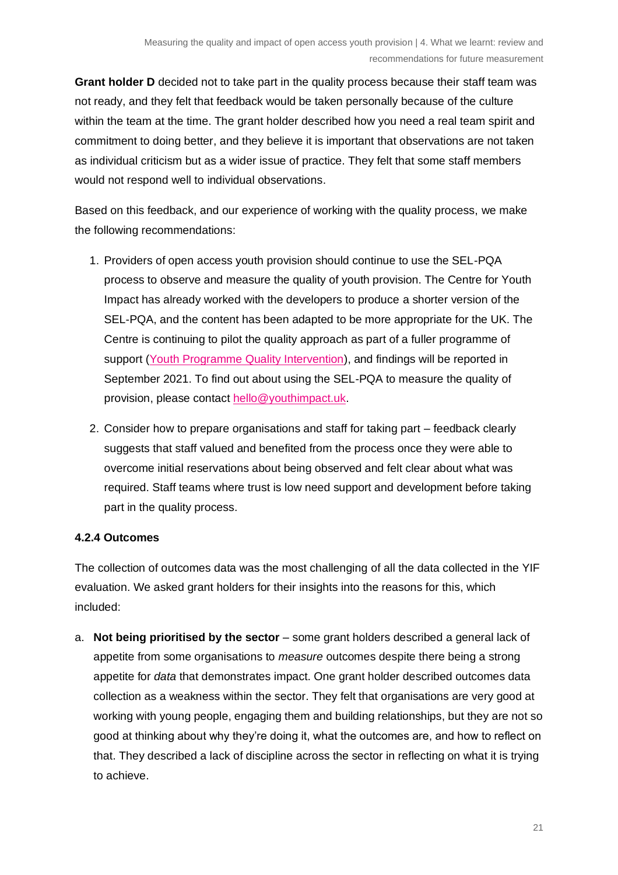**Grant holder D** decided not to take part in the quality process because their staff team was not ready, and they felt that feedback would be taken personally because of the culture within the team at the time. The grant holder described how you need a real team spirit and commitment to doing better, and they believe it is important that observations are not taken as individual criticism but as a wider issue of practice. They felt that some staff members would not respond well to individual observations.

Based on this feedback, and our experience of working with the quality process, we make the following recommendations:

- 1. Providers of open access youth provision should continue to use the SEL-PQA process to observe and measure the quality of youth provision. The Centre for Youth Impact has already worked with the developers to produce a shorter version of the SEL-PQA, and the content has been adapted to be more appropriate for the UK. The Centre is continuing to pilot the quality approach as part of a fuller programme of support [\(Youth Programme Quality Intervention\)](https://www.youthimpact.uk/ypqi-uk), and findings will be reported in September 2021. To find out about using the SEL-PQA to measure the quality of provision, please contact [hello@youthimpact.uk.](mailto:hello@youthimpact.uk)
- 2. Consider how to prepare organisations and staff for taking part feedback clearly suggests that staff valued and benefited from the process once they were able to overcome initial reservations about being observed and felt clear about what was required. Staff teams where trust is low need support and development before taking part in the quality process.

#### **4.2.4 Outcomes**

The collection of outcomes data was the most challenging of all the data collected in the YIF evaluation. We asked grant holders for their insights into the reasons for this, which included:

a. **Not being prioritised by the sector** – some grant holders described a general lack of appetite from some organisations to *measure* outcomes despite there being a strong appetite for *data* that demonstrates impact. One grant holder described outcomes data collection as a weakness within the sector. They felt that organisations are very good at working with young people, engaging them and building relationships, but they are not so good at thinking about why they're doing it, what the outcomes are, and how to reflect on that. They described a lack of discipline across the sector in reflecting on what it is trying to achieve.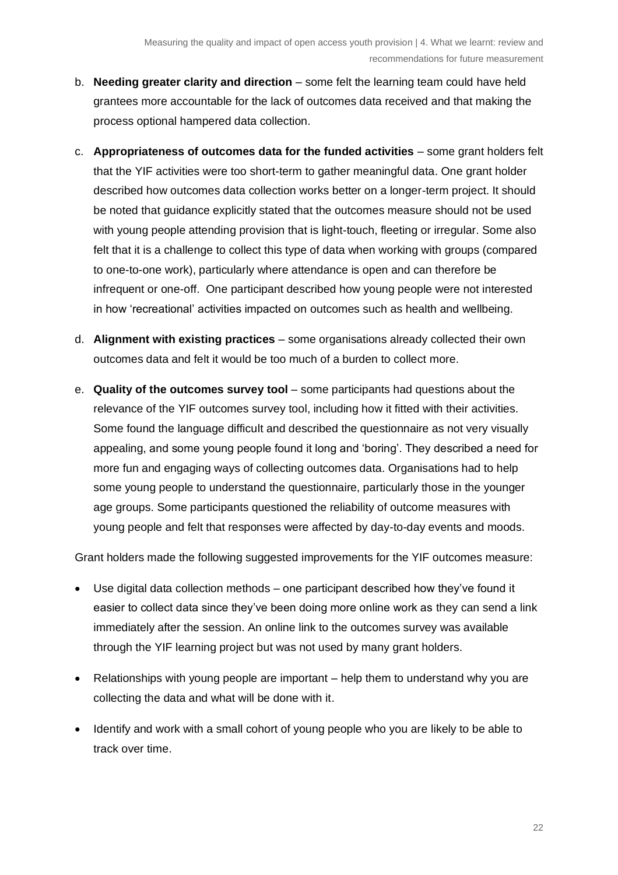- b. **Needing greater clarity and direction** some felt the learning team could have held grantees more accountable for the lack of outcomes data received and that making the process optional hampered data collection.
- c. **Appropriateness of outcomes data for the funded activities** some grant holders felt that the YIF activities were too short-term to gather meaningful data. One grant holder described how outcomes data collection works better on a longer-term project. It should be noted that guidance explicitly stated that the outcomes measure should not be used with young people attending provision that is light-touch, fleeting or irregular. Some also felt that it is a challenge to collect this type of data when working with groups (compared to one-to-one work), particularly where attendance is open and can therefore be infrequent or one-off. One participant described how young people were not interested in how 'recreational' activities impacted on outcomes such as health and wellbeing.
- d. **Alignment with existing practices** some organisations already collected their own outcomes data and felt it would be too much of a burden to collect more.
- e. **Quality of the outcomes survey tool** some participants had questions about the relevance of the YIF outcomes survey tool, including how it fitted with their activities. Some found the language difficult and described the questionnaire as not very visually appealing, and some young people found it long and 'boring'. They described a need for more fun and engaging ways of collecting outcomes data. Organisations had to help some young people to understand the questionnaire, particularly those in the younger age groups. Some participants questioned the reliability of outcome measures with young people and felt that responses were affected by day-to-day events and moods.

Grant holders made the following suggested improvements for the YIF outcomes measure:

- Use digital data collection methods one participant described how they've found it easier to collect data since they've been doing more online work as they can send a link immediately after the session. An online link to the outcomes survey was available through the YIF learning project but was not used by many grant holders.
- Relationships with young people are important help them to understand why you are collecting the data and what will be done with it.
- Identify and work with a small cohort of young people who you are likely to be able to track over time.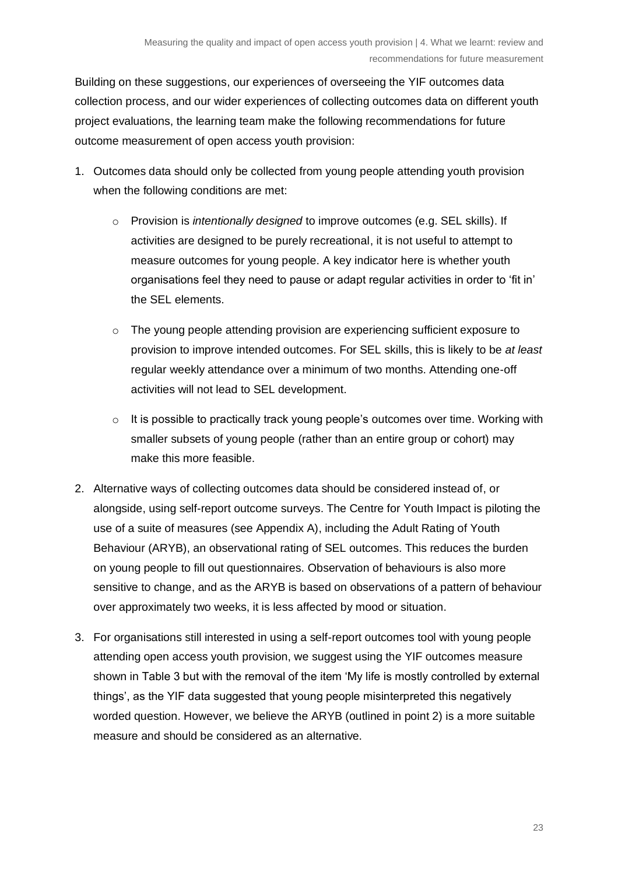Building on these suggestions, our experiences of overseeing the YIF outcomes data collection process, and our wider experiences of collecting outcomes data on different youth project evaluations, the learning team make the following recommendations for future outcome measurement of open access youth provision:

- 1. Outcomes data should only be collected from young people attending youth provision when the following conditions are met:
	- o Provision is *intentionally designed* to improve outcomes (e.g. SEL skills). If activities are designed to be purely recreational, it is not useful to attempt to measure outcomes for young people. A key indicator here is whether youth organisations feel they need to pause or adapt regular activities in order to 'fit in' the SEL elements.
	- $\circ$  The young people attending provision are experiencing sufficient exposure to provision to improve intended outcomes. For SEL skills, this is likely to be *at least* regular weekly attendance over a minimum of two months. Attending one-off activities will not lead to SEL development.
	- $\circ$  It is possible to practically track young people's outcomes over time. Working with smaller subsets of young people (rather than an entire group or cohort) may make this more feasible.
- 2. Alternative ways of collecting outcomes data should be considered instead of, or alongside, using self-report outcome surveys. The Centre for Youth Impact is piloting the use of a suite of measures (see Appendix A), including the Adult Rating of Youth Behaviour (ARYB), an observational rating of SEL outcomes. This reduces the burden on young people to fill out questionnaires. Observation of behaviours is also more sensitive to change, and as the ARYB is based on observations of a pattern of behaviour over approximately two weeks, it is less affected by mood or situation.
- 3. For organisations still interested in using a self-report outcomes tool with young people attending open access youth provision, we suggest using the YIF outcomes measure shown in Table 3 but with the removal of the item 'My life is mostly controlled by external things', as the YIF data suggested that young people misinterpreted this negatively worded question. However, we believe the ARYB (outlined in point 2) is a more suitable measure and should be considered as an alternative.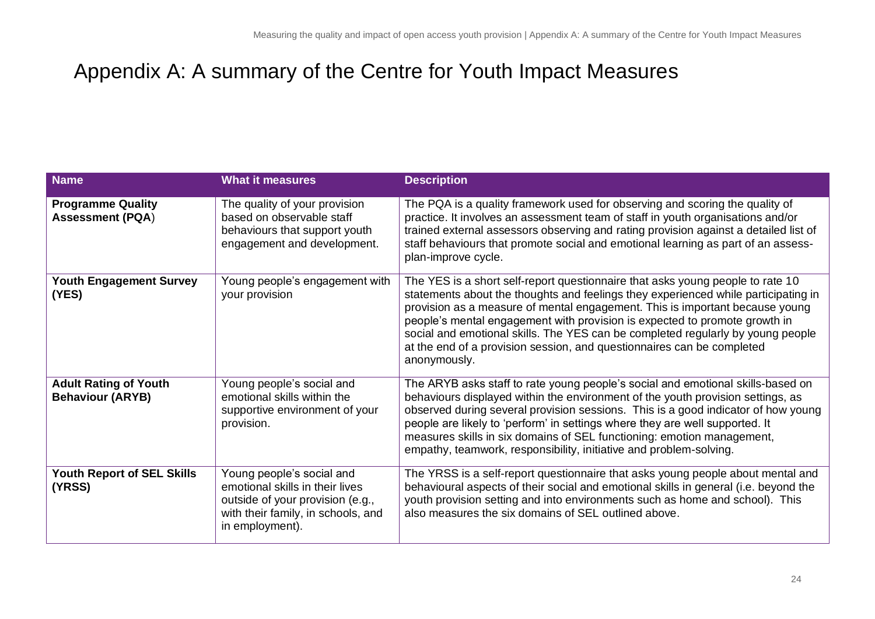# Appendix A: A summary of the Centre for Youth Impact Measures

<span id="page-23-0"></span>

| <b>Name</b>                                             | <b>What it measures</b>                                                                                                                                   | <b>Description</b>                                                                                                                                                                                                                                                                                                                                                                                                                                                                                              |
|---------------------------------------------------------|-----------------------------------------------------------------------------------------------------------------------------------------------------------|-----------------------------------------------------------------------------------------------------------------------------------------------------------------------------------------------------------------------------------------------------------------------------------------------------------------------------------------------------------------------------------------------------------------------------------------------------------------------------------------------------------------|
| <b>Programme Quality</b><br><b>Assessment (PQA)</b>     | The quality of your provision<br>based on observable staff<br>behaviours that support youth<br>engagement and development.                                | The PQA is a quality framework used for observing and scoring the quality of<br>practice. It involves an assessment team of staff in youth organisations and/or<br>trained external assessors observing and rating provision against a detailed list of<br>staff behaviours that promote social and emotional learning as part of an assess-<br>plan-improve cycle.                                                                                                                                             |
| <b>Youth Engagement Survey</b><br>(YES)                 | Young people's engagement with<br>your provision                                                                                                          | The YES is a short self-report questionnaire that asks young people to rate 10<br>statements about the thoughts and feelings they experienced while participating in<br>provision as a measure of mental engagement. This is important because young<br>people's mental engagement with provision is expected to promote growth in<br>social and emotional skills. The YES can be completed regularly by young people<br>at the end of a provision session, and questionnaires can be completed<br>anonymously. |
| <b>Adult Rating of Youth</b><br><b>Behaviour (ARYB)</b> | Young people's social and<br>emotional skills within the<br>supportive environment of your<br>provision.                                                  | The ARYB asks staff to rate young people's social and emotional skills-based on<br>behaviours displayed within the environment of the youth provision settings, as<br>observed during several provision sessions. This is a good indicator of how young<br>people are likely to 'perform' in settings where they are well supported. It<br>measures skills in six domains of SEL functioning: emotion management,<br>empathy, teamwork, responsibility, initiative and problem-solving.                         |
| <b>Youth Report of SEL Skills</b><br>(YRSS)             | Young people's social and<br>emotional skills in their lives<br>outside of your provision (e.g.,<br>with their family, in schools, and<br>in employment). | The YRSS is a self-report questionnaire that asks young people about mental and<br>behavioural aspects of their social and emotional skills in general (i.e. beyond the<br>youth provision setting and into environments such as home and school). This<br>also measures the six domains of SEL outlined above.                                                                                                                                                                                                 |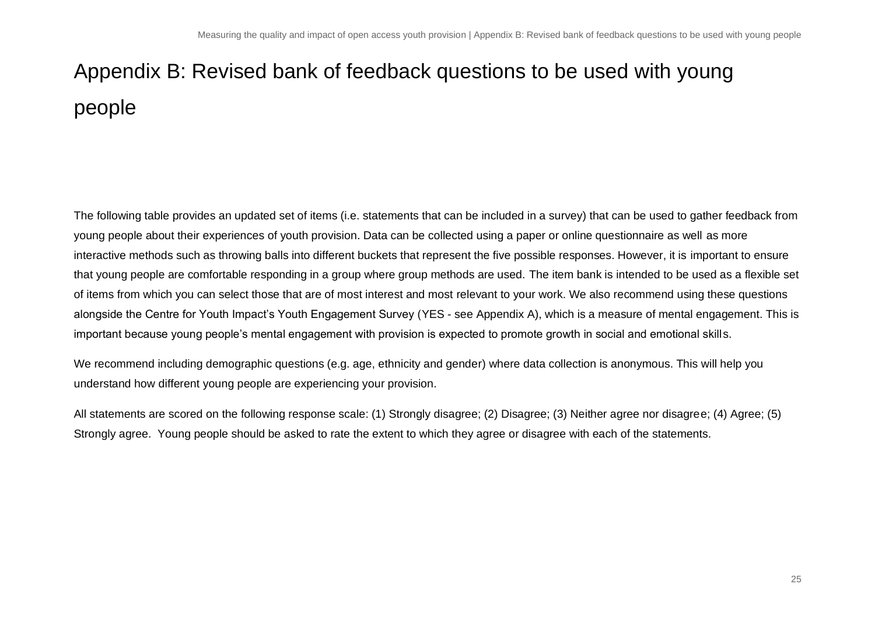# Appendix B: Revised bank of feedback questions to be used with young people

The following table provides an updated set of items (i.e. statements that can be included in a survey) that can be used to gather feedback from young people about their experiences of youth provision. Data can be collected using a paper or online questionnaire as well as more interactive methods such as throwing balls into different buckets that represent the five possible responses. However, it is important to ensure that young people are comfortable responding in a group where group methods are used. The item bank is intended to be used as a flexible set of items from which you can select those that are of most interest and most relevant to your work. We also recommend using these questions alongside the Centre for Youth Impact's Youth Engagement Survey (YES - see Appendix A), which is a measure of mental engagement. This is important because young people's mental engagement with provision is expected to promote growth in social and emotional skills.

<span id="page-24-0"></span>We recommend including demographic questions (e.g. age, ethnicity and gender) where data collection is anonymous. This will help you understand how different young people are experiencing your provision.

All statements are scored on the following response scale: (1) Strongly disagree; (2) Disagree; (3) Neither agree nor disagree; (4) Agree; (5) Strongly agree. Young people should be asked to rate the extent to which they agree or disagree with each of the statements.